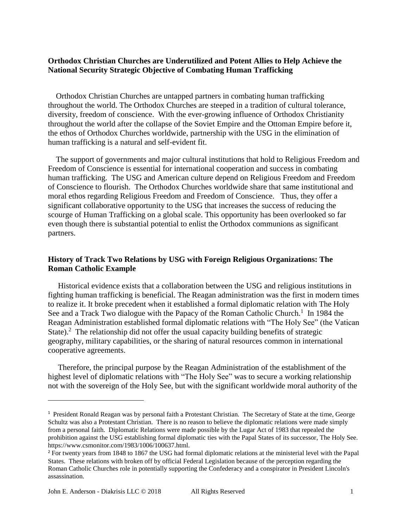# **Orthodox Christian Churches are Underutilized and Potent Allies to Help Achieve the National Security Strategic Objective of Combating Human Trafficking**

 Orthodox Christian Churches are untapped partners in combating human trafficking throughout the world. The Orthodox Churches are steeped in a tradition of cultural tolerance, diversity, freedom of conscience. With the ever-growing influence of Orthodox Christianity throughout the world after the collapse of the Soviet Empire and the Ottoman Empire before it, the ethos of Orthodox Churches worldwide, partnership with the USG in the elimination of human trafficking is a natural and self-evident fit.

 The support of governments and major cultural institutions that hold to Religious Freedom and Freedom of Conscience is essential for international cooperation and success in combating human trafficking. The USG and American culture depend on Religious Freedom and Freedom of Conscience to flourish. The Orthodox Churches worldwide share that same institutional and moral ethos regarding Religious Freedom and Freedom of Conscience. Thus, they offer a significant collaborative opportunity to the USG that increases the success of reducing the scourge of Human Trafficking on a global scale. This opportunity has been overlooked so far even though there is substantial potential to enlist the Orthodox communions as significant partners.

# **History of Track Two Relations by USG with Foreign Religious Organizations: The Roman Catholic Example**

 Historical evidence exists that a collaboration between the USG and religious institutions in fighting human trafficking is beneficial. The Reagan administration was the first in modern times to realize it. It broke precedent when it established a formal diplomatic relation with The Holy See and a Track Two dialogue with the Papacy of the Roman Catholic Church.<sup>1</sup> In 1984 the Reagan Administration established formal diplomatic relations with "The Holy See" (the Vatican State).<sup>2</sup> The relationship did not offer the usual capacity building benefits of strategic geography, military capabilities, or the sharing of natural resources common in international cooperative agreements.

 Therefore, the principal purpose by the Reagan Administration of the establishment of the highest level of diplomatic relations with "The Holy See" was to secure a working relationship not with the sovereign of the Holy See, but with the significant worldwide moral authority of the

<sup>&</sup>lt;sup>1</sup> President Ronald Reagan was by personal faith a Protestant Christian. The Secretary of State at the time, George Schultz was also a Protestant Christian. There is no reason to believe the diplomatic relations were made simply from a personal faith. Diplomatic Relations were made possible by the Lugar Act of 1983 that repealed the prohibition against the USG establishing formal diplomatic ties with the Papal States of its successor, The Holy See. https://www.csmonitor.com/1983/1006/100637.html.

<sup>&</sup>lt;sup>2</sup> For twenty years from 1848 to 1867 the USG had formal diplomatic relations at the ministerial level with the Papal States. These relations with broken off by official Federal Legislation because of the perception regarding the Roman Catholic Churches role in potentially supporting the Confederacy and a conspirator in President Lincoln's assassination.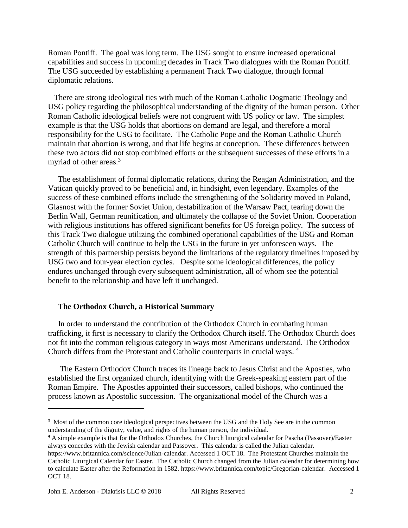Roman Pontiff. The goal was long term. The USG sought to ensure increased operational capabilities and success in upcoming decades in Track Two dialogues with the Roman Pontiff. The USG succeeded by establishing a permanent Track Two dialogue, through formal diplomatic relations.

 There are strong ideological ties with much of the Roman Catholic Dogmatic Theology and USG policy regarding the philosophical understanding of the dignity of the human person. Other Roman Catholic ideological beliefs were not congruent with US policy or law. The simplest example is that the USG holds that abortions on demand are legal, and therefore a moral responsibility for the USG to facilitate. The Catholic Pope and the Roman Catholic Church maintain that abortion is wrong, and that life begins at conception. These differences between these two actors did not stop combined efforts or the subsequent successes of these efforts in a myriad of other areas.<sup>3</sup>

 The establishment of formal diplomatic relations, during the Reagan Administration, and the Vatican quickly proved to be beneficial and, in hindsight, even legendary. Examples of the success of these combined efforts include the strengthening of the Solidarity moved in Poland, Glasnost with the former Soviet Union, destabilization of the Warsaw Pact, tearing down the Berlin Wall, German reunification, and ultimately the collapse of the Soviet Union. Cooperation with religious institutions has offered significant benefits for US foreign policy. The success of this Track Two dialogue utilizing the combined operational capabilities of the USG and Roman Catholic Church will continue to help the USG in the future in yet unforeseen ways. The strength of this partnership persists beyond the limitations of the regulatory timelines imposed by USG two and four-year election cycles. Despite some ideological differences, the policy endures unchanged through every subsequent administration, all of whom see the potential benefit to the relationship and have left it unchanged.

### **The Orthodox Church, a Historical Summary**

In order to understand the contribution of the Orthodox Church in combating human trafficking, it first is necessary to clarify the Orthodox Church itself. The Orthodox Church does not fit into the common religious category in ways most Americans understand. The Orthodox Church differs from the Protestant and Catholic counterparts in crucial ways. <sup>4</sup>

The Eastern Orthodox Church traces its lineage back to Jesus Christ and the Apostles, who established the first organized church, identifying with the Greek-speaking eastern part of the Roman Empire. The Apostles appointed their successors, called bishops, who continued the process known as Apostolic succession. The organizational model of the Church was a

<sup>&</sup>lt;sup>3</sup> Most of the common core ideological perspectives between the USG and the Holy See are in the common understanding of the dignity, value, and rights of the human person, the individual.

<sup>&</sup>lt;sup>4</sup> A simple example is that for the Orthodox Churches, the Church liturgical calendar for Pascha (Passover)/Easter always concedes with the Jewish calendar and Passover. This calendar is called the Julian calendar.

[https://www.britannica.com/science/Julian-calendar.](https://www.britannica.com/science/Julian-calendar) Accessed 1 OCT 18. The Protestant Churches maintain the Catholic Liturgical Calendar for Easter. The Catholic Church changed from the Julian calendar for determining how to calculate Easter after the Reformation in 1582. [https://www.britannica.com/topic/Gregorian-calendar.](https://www.britannica.com/topic/Gregorian-calendar) Accessed 1 OCT 18.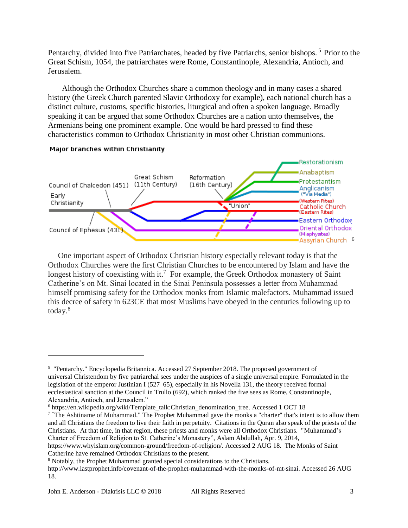Pentarchy, divided into five Patriarchates, headed by five Patriarchs, senior bishops.<sup>5</sup> Prior to the Great Schism, 1054, the patriarchates were Rome, Constantinople, Alexandria, Antioch, and Jerusalem.

 Although the Orthodox Churches share a common theology and in many cases a shared history (the Greek Church parented Slavic Orthodoxy for example), each national church has a distinct culture, customs, specific histories, liturgical and often a spoken language. Broadly speaking it can be argued that some Orthodox Churches are a nation unto themselves, the Armenians being one prominent example. One would be hard pressed to find these characteristics common to Orthodox Christianity in most other Christian communions.



## Major branches within Christianity

 One important aspect of Orthodox Christian history especially relevant today is that the Orthodox Churches were the first Christian Churches to be encountered by Islam and have the longest history of coexisting with it.<sup>7</sup> For example, the Greek Orthodox monastery of Saint Catherine's on Mt. Sinai located in the Sinai Peninsula possesses a letter from Muhammad himself promising safety for the Orthodox monks from Islamic malefactors. Muhammad issued this decree of safety in 623CE that most Muslims have obeyed in the centuries following up to today.<sup>8</sup>

<sup>6</sup> [https://en.wikipedia.org/wiki/Template\\_talk:Christian\\_denomination\\_tree.](https://en.wikipedia.org/wiki/Template_talk:Christian_denomination_tree) Accessed 1 OCT 18

<sup>&</sup>lt;sup>5</sup> ["Pentarchy."](http://www.britannica.com/eb/article-9059117/pentarchy) [Encyclopedia Britannica.](https://en.wikipedia.org/wiki/Encyclop%C3%A6dia_Britannica) Accessed 27 September 2018. The proposed government of universal [Christendom](https://en.wikipedia.org/wiki/Christendom) by five [patriarchal sees](https://en.wikipedia.org/wiki/Patriarch) under the auspices of a single universal empire. Formulated in the legislation of the emperor [Justinian I](https://en.wikipedia.org/wiki/Justinian_I) (527–65), especially in his Novella 131, the theory received formal ecclesiastical sanction at the [Council in Trullo](https://en.wikipedia.org/wiki/Quinisext_Council) (692), which ranked the five sees as Rome, Constantinople, Alexandria, Antioch, and Jerusalem."

<sup>&</sup>lt;sup>7</sup> "The Ashtiname of Muhammad." The Prophet Muhammad gave the monks a "charter" that's intent is to allow them and all Christians the freedom to live their faith in perpetuity. Citations in the Quran also speak of the priests of the Christians. At that time, in that region, these priests and monks were all Orthodox Christians. "Muhammad's Charter of Freedom of Religion to St. Catherine's Monastery", Aslam Abdullah, Apr. 9, 2014,

[https://www.whyislam.org/common-ground/freedom-of-religion/.](https://www.whyislam.org/common-ground/freedom-of-religion/) Accessed 2 AUG 18. The Monks of Saint Catherine have remained Orthodox Christians to the present.

<sup>8</sup> Notably, the Prophet Muhammad granted special considerations to the Christians.

[http://www.lastprophet.info/covenant-of-the-prophet-muhammad-with-the-monks-of-mt-sinai.](http://www.lastprophet.info/covenant-of-the-prophet-muhammad-with-the-monks-of-mt-sinai) Accessed 26 AUG 18.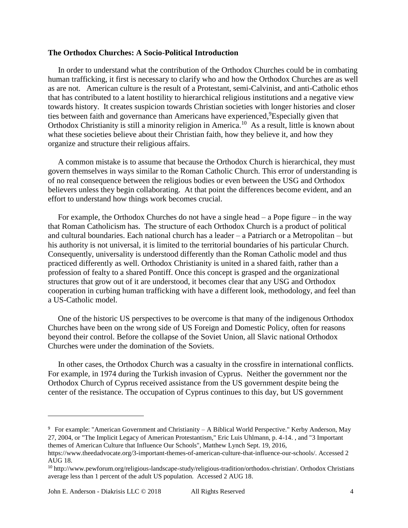### **The Orthodox Churches: A Socio-Political Introduction**

 In order to understand what the contribution of the Orthodox Churches could be in combating human trafficking, it first is necessary to clarify who and how the Orthodox Churches are as well as are not. American culture is the result of a Protestant, semi-Calvinist, and anti-Catholic ethos that has contributed to a latent hostility to hierarchical religious institutions and a negative view towards history. It creates suspicion towards Christian societies with longer histories and closer ties between faith and governance than Americans have experienced, <sup>9</sup>Especially given that Orthodox Christianity is still a minority religion in America.<sup>10</sup> As a result, little is known about what these societies believe about their Christian faith, how they believe it, and how they organize and structure their religious affairs.

 A common mistake is to assume that because the Orthodox Church is hierarchical, they must govern themselves in ways similar to the Roman Catholic Church. This error of understanding is of no real consequence between the religious bodies or even between the USG and Orthodox believers unless they begin collaborating. At that point the differences become evident, and an effort to understand how things work becomes crucial.

For example, the Orthodox Churches do not have a single head  $-$  a Pope figure  $-$  in the way that Roman Catholicism has. The structure of each Orthodox Church is a product of political and cultural boundaries. Each national church has a leader – a Patriarch or a Metropolitan – but his authority is not universal, it is limited to the territorial boundaries of his particular Church. Consequently, universality is understood differently than the Roman Catholic model and thus practiced differently as well. Orthodox Christianity is united in a shared faith, rather than a profession of fealty to a shared Pontiff. Once this concept is grasped and the organizational structures that grow out of it are understood, it becomes clear that any USG and Orthodox cooperation in curbing human trafficking with have a different look, methodology, and feel than a US-Catholic model.

 One of the historic US perspectives to be overcome is that many of the indigenous Orthodox Churches have been on the wrong side of US Foreign and Domestic Policy, often for reasons beyond their control. Before the collapse of the Soviet Union, all Slavic national Orthodox Churches were under the domination of the Soviets.

 In other cases, the Orthodox Church was a casualty in the crossfire in international conflicts. For example, in 1974 during the Turkish invasion of Cyprus. Neither the government nor the Orthodox Church of Cyprus received assistance from the US government despite being the center of the resistance. The occupation of Cyprus continues to this day, but US government

 $\overline{a}$ 

<sup>9</sup> For example: "American Government and Christianity – A Biblical World Perspective." Kerby Anderson, May 27, 2004, or "The Implicit Legacy of American Protestantism," Eric Luis Uhlmann, p. 4-14. , and "3 Important themes of American Culture that Influence Our Schools", Matthew Lynch Sept. 19, 2016,

[https://www.theedadvocate.org/3-important-themes-of-american-culture-that-influence-our-schools/.](https://www.theedadvocate.org/3-important-themes-of-american-culture-that-influence-our-schools/) Accessed 2 AUG 18.

<sup>10</sup> [http://www.pewforum.org/religious-landscape-study/religious-tradition/orthodox-christian/.](http://www.pewforum.org/religious-landscape-study/religious-tradition/orthodox-christian/) Orthodox Christians average less than 1 percent of the adult US population. Accessed 2 AUG 18.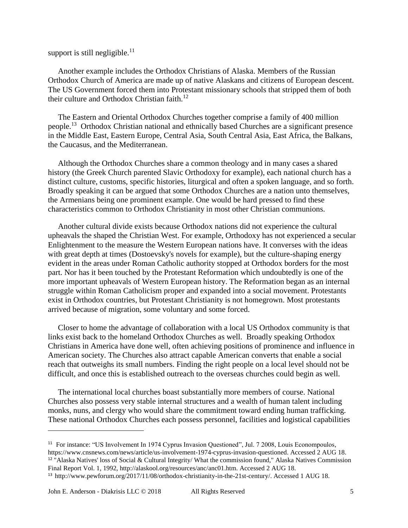# support is still negligible.<sup>11</sup>

 Another example includes the Orthodox Christians of Alaska. Members of the Russian Orthodox Church of America are made up of native Alaskans and citizens of European descent. The US Government forced them into Protestant missionary schools that stripped them of both their culture and Orthodox Christian faith.<sup>12</sup>

 The Eastern and Oriental Orthodox Churches together comprise a family of 400 million people.<sup>13</sup> Orthodox Christian national and ethnically based Churches are a significant presence in the Middle East, Eastern Europe, Central Asia, South Central Asia, East Africa, the Balkans, the Caucasus, and the Mediterranean.

 Although the Orthodox Churches share a common theology and in many cases a shared history (the Greek Church parented Slavic Orthodoxy for example), each national church has a distinct culture, customs, specific histories, liturgical and often a spoken language, and so forth. Broadly speaking it can be argued that some Orthodox Churches are a nation unto themselves, the Armenians being one prominent example. One would be hard pressed to find these characteristics common to Orthodox Christianity in most other Christian communions.

 Another cultural divide exists because Orthodox nations did not experience the cultural upheavals the shaped the Christian West. For example, Orthodoxy has not experienced a secular Enlightenment to the measure the Western European nations have. It converses with the ideas with great depth at times (Dostoevsky's novels for example), but the culture-shaping energy evident in the areas under Roman Catholic authority stopped at Orthodox borders for the most part. Nor has it been touched by the Protestant Reformation which undoubtedly is one of the more important upheavals of Western European history. The Reformation began as an internal struggle within Roman Catholicism proper and expanded into a social movement. Protestants exist in Orthodox countries, but Protestant Christianity is not homegrown. Most protestants arrived because of migration, some voluntary and some forced.

 Closer to home the advantage of collaboration with a local US Orthodox community is that links exist back to the homeland Orthodox Churches as well. Broadly speaking Orthodox Christians in America have done well, often achieving positions of prominence and influence in American society. The Churches also attract capable American converts that enable a social reach that outweighs its small numbers. Finding the right people on a local level should not be difficult, and once this is established outreach to the overseas churches could begin as well.

 The international local churches boast substantially more members of course. National Churches also possess very stable internal structures and a wealth of human talent including monks, nuns, and clergy who would share the commitment toward ending human trafficking. These national Orthodox Churches each possess personnel, facilities and logistical capabilities

<sup>11</sup> For instance: "US Involvement In 1974 Cyprus Invasion Questioned", Jul. 7 2008, Louis Econompoulos, [https://www.cnsnews.com/news/article/us-involvement-1974-cyprus-invasion-questioned.](https://www.cnsnews.com/news/article/us-involvement-1974-cyprus-invasion-questioned) Accessed 2 AUG 18. <sup>12</sup> "Alaska Natives' loss of Social & Cultural Integrity/ What the commission found," Alaska Natives Commission Final Report Vol. 1, 1992, [http://alaskool.org/resources/anc/anc01.htm.](http://alaskool.org/resources/anc/anc01.htm) Accessed 2 AUG 18.

<sup>13</sup> [http://www.pewforum.org/2017/11/08/orthodox-christianity-in-the-21st-century/.](http://www.pewforum.org/2017/11/08/orthodox-christianity-in-the-21st-century/) Accessed 1 AUG 18.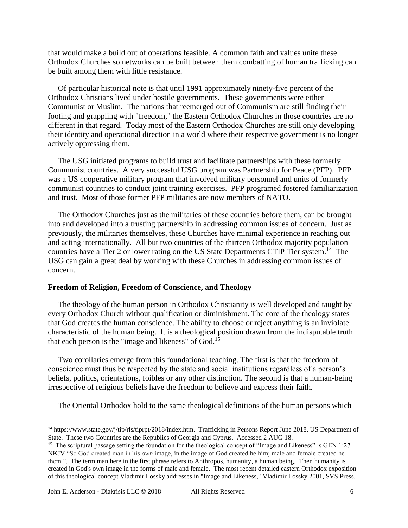that would make a build out of operations feasible. A common faith and values unite these Orthodox Churches so networks can be built between them combatting of human trafficking can be built among them with little resistance.

 Of particular historical note is that until 1991 approximately ninety-five percent of the Orthodox Christians lived under hostile governments. These governments were either Communist or Muslim. The nations that reemerged out of Communism are still finding their footing and grappling with "freedom," the Eastern Orthodox Churches in those countries are no different in that regard. Today most of the Eastern Orthodox Churches are still only developing their identity and operational direction in a world where their respective government is no longer actively oppressing them.

 The USG initiated programs to build trust and facilitate partnerships with these formerly Communist countries. A very successful USG program was Partnership for Peace (PFP). PFP was a US cooperative military program that involved military personnel and units of formerly communist countries to conduct joint training exercises. PFP programed fostered familiarization and trust. Most of those former PFP militaries are now members of NATO.

 The Orthodox Churches just as the militaries of these countries before them, can be brought into and developed into a trusting partnership in addressing common issues of concern. Just as previously, the militaries themselves, these Churches have minimal experience in reaching out and acting internationally. All but two countries of the thirteen Orthodox majority population countries have a Tier 2 or lower rating on the US State Departments CTIP Tier system.<sup>14</sup> The USG can gain a great deal by working with these Churches in addressing common issues of concern.

### **Freedom of Religion, Freedom of Conscience, and Theology**

 The theology of the human person in Orthodox Christianity is well developed and taught by every Orthodox Church without qualification or diminishment. The core of the theology states that God creates the human conscience. The ability to choose or reject anything is an inviolate characteristic of the human being. It is a theological position drawn from the indisputable truth that each person is the "image and likeness" of  $God.<sup>15</sup>$ 

 Two corollaries emerge from this foundational teaching. The first is that the freedom of conscience must thus be respected by the state and social institutions regardless of a person's beliefs, politics, orientations, foibles or any other distinction. The second is that a human-being irrespective of religious beliefs have the freedom to believe and express their faith.

The Oriental Orthodox hold to the same theological definitions of the human persons which

 $\overline{a}$ 

<sup>14</sup> [https://www.state.gov/j/tip/rls/tiprpt/2018/index.htm.](https://www.state.gov/j/tip/rls/tiprpt/2018/index.htm) Trafficking in Persons Report June 2018, US Department of State. These two Countries are the Republics of Georgia and Cyprus. Accessed 2 AUG 18.

<sup>&</sup>lt;sup>15</sup> The scriptural passage setting the foundation for the theological concept of "Image and Likeness" is GEN 1:27 NKJV "So God created man in his *own* image, in the image of God created he him; male and female created he them.". The term man here in the first phrase refers to Anthropos, humanity, a human being. Then humanity is created in God's own image in the forms of male and female. The most recent detailed eastern Orthodox exposition of this theological concept Vladimir Lossky addresses in "Image and Likeness," Vladimir Lossky 2001, SVS Press.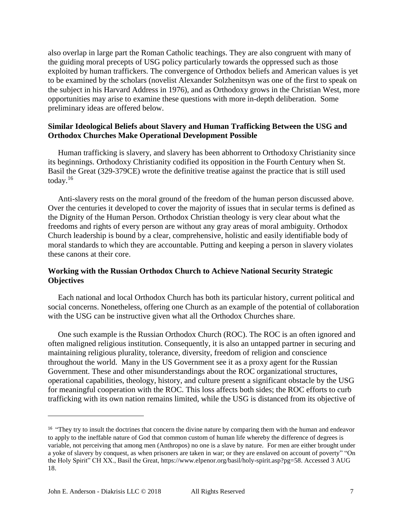also overlap in large part the Roman Catholic teachings. They are also congruent with many of the guiding moral precepts of USG policy particularly towards the oppressed such as those exploited by human traffickers. The convergence of Orthodox beliefs and American values is yet to be examined by the scholars (novelist Alexander Solzhenitsyn was one of the first to speak on the subject in his Harvard Address in 1976), and as Orthodoxy grows in the Christian West, more opportunities may arise to examine these questions with more in-depth deliberation. Some preliminary ideas are offered below.

## **Similar Ideological Beliefs about Slavery and Human Trafficking Between the USG and Orthodox Churches Make Operational Development Possible**

 Human trafficking is slavery, and slavery has been abhorrent to Orthodoxy Christianity since its beginnings. Orthodoxy Christianity codified its opposition in the Fourth Century when St. Basil the Great (329-379CE) wrote the definitive treatise against the practice that is still used today.<sup>16</sup>

 Anti-slavery rests on the moral ground of the freedom of the human person discussed above. Over the centuries it developed to cover the majority of issues that in secular terms is defined as the Dignity of the Human Person. Orthodox Christian theology is very clear about what the freedoms and rights of every person are without any gray areas of moral ambiguity. Orthodox Church leadership is bound by a clear, comprehensive, holistic and easily identifiable body of moral standards to which they are accountable. Putting and keeping a person in slavery violates these canons at their core.

# **Working with the Russian Orthodox Church to Achieve National Security Strategic Objectives**

 Each national and local Orthodox Church has both its particular history, current political and social concerns. Nonetheless, offering one Church as an example of the potential of collaboration with the USG can be instructive given what all the Orthodox Churches share.

 One such example is the Russian Orthodox Church (ROC). The ROC is an often ignored and often maligned religious institution. Consequently, it is also an untapped partner in securing and maintaining religious plurality, tolerance, diversity, freedom of religion and conscience throughout the world. Many in the US Government see it as a proxy agent for the Russian Government. These and other misunderstandings about the ROC organizational structures, operational capabilities, theology, history, and culture present a significant obstacle by the USG for meaningful cooperation with the ROC. This loss affects both sides; the ROC efforts to curb trafficking with its own nation remains limited, while the USG is distanced from its objective of

 $\overline{a}$ 

<sup>&</sup>lt;sup>16</sup> "They try to insult the doctrines that concern the divine nature by comparing them with the human and endeavor to apply to the ineffable nature of God that common custom of human life whereby the difference of degrees is variable, not perceiving that among men (Anthropos) no one is a slave by nature. For men are either brought under a yoke of slavery by conquest, as when prisoners are taken in war; or they are enslaved on account of poverty" "On the Holy Spirit" CH XX., Basil the Great[, https://www.elpenor.org/basil/holy-spirit.asp?pg=58.](https://www.elpenor.org/basil/holy-spirit.asp?pg=58) Accessed 3 AUG 18.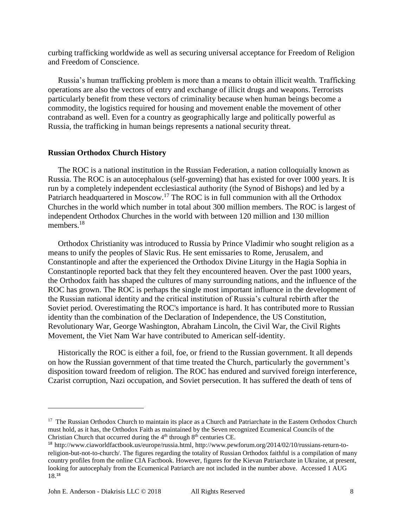curbing trafficking worldwide as well as securing universal acceptance for Freedom of Religion and Freedom of Conscience.

 Russia's human trafficking problem is more than a means to obtain illicit wealth. Trafficking operations are also the vectors of entry and exchange of illicit drugs and weapons. Terrorists particularly benefit from these vectors of criminality because when human beings become a commodity, the logistics required for housing and movement enable the movement of other contraband as well. Even for a country as geographically large and politically powerful as Russia, the trafficking in human beings represents a national security threat.

#### **Russian Orthodox Church History**

 The ROC is a national institution in the Russian Federation, a nation colloquially known as Russia. The ROC is an autocephalous (self-governing) that has existed for over 1000 years. It is run by a completely independent ecclesiastical authority (the Synod of Bishops) and led by a Patriarch headquartered in Moscow.<sup>17</sup> The ROC is in full communion with all the Orthodox Churches in the world which number in total about 300 million members. The ROC is largest of independent Orthodox Churches in the world with between 120 million and 130 million members.<sup>18</sup>

 Orthodox Christianity was introduced to Russia by Prince Vladimir who sought religion as a means to unify the peoples of Slavic Rus. He sent emissaries to Rome, Jerusalem, and Constantinople and after the experienced the Orthodox Divine Liturgy in the Hagia Sophia in Constantinople reported back that they felt they encountered heaven. Over the past 1000 years, the Orthodox faith has shaped the cultures of many surrounding nations, and the influence of the ROC has grown. The ROC is perhaps the single most important influence in the development of the Russian national identity and the critical institution of Russia's cultural rebirth after the Soviet period. Overestimating the ROC's importance is hard. It has contributed more to Russian identity than the combination of the Declaration of Independence, the US Constitution, Revolutionary War, George Washington, Abraham Lincoln, the Civil War, the Civil Rights Movement, the Viet Nam War have contributed to American self-identity.

 Historically the ROC is either a foil, foe, or friend to the Russian government. It all depends on how the Russian government of that time treated the Church, particularly the government's disposition toward freedom of religion. The ROC has endured and survived foreign interference, Czarist corruption, Nazi occupation, and Soviet persecution. It has suffered the death of tens of

<sup>&</sup>lt;sup>17</sup> The Russian Orthodox Church to maintain its place as a Church and Patriarchate in the Eastern Orthodox Church must hold, as it has, the Orthodox Faith as maintained by the Seven recognized Ecumenical Councils of the Christian Church that occurred during the 4<sup>th</sup> through 8<sup>th</sup> centuries CE.

<sup>18</sup> [http://www.ciaworldfactbook.us/europe/russia.html,](http://www.ciaworldfactbook.us/europe/russia.html) [http://www.pewforum.org/2014/02/10/russians-return-to](http://www.pewforum.org/2014/02/10/russians-return-to-religion-but-not-to-church/)[religion-but-not-to-church/.](http://www.pewforum.org/2014/02/10/russians-return-to-religion-but-not-to-church/) The figures regarding the totality of Russian Orthodox faithful is a compilation of many country profiles from the online CIA Factbook. However, figures for the Kievan Patriarchate in Ukraine, at present, looking for autocephaly from the Ecumenical Patriarch are not included in the number above. Accessed 1 AUG 18.18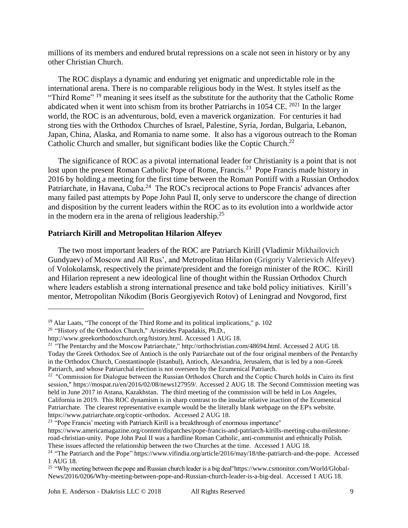millions of its members and endured brutal repressions on a scale not seen in history or by any other Christian Church.

 The ROC displays a dynamic and enduring yet enigmatic and unpredictable role in the international arena. There is no comparable religious body in the West. It styles itself as the "Third Rome" <sup>19</sup> meaning it sees itself as the substitute for the authority that the Catholic Rome abdicated when it went into schism from its brother Patriarchs in 1054 CE. <sup>2021</sup> In the larger world, the ROC is an adventurous, bold, even a maverick organization. For centuries it had strong ties with the Orthodox Churches of Israel, Palestine, Syria, Jordan, Bulgaria, Lebanon, Japan, China, Alaska, and Romania to name some. It also has a vigorous outreach to the Roman Catholic Church and smaller, but significant bodies like the Coptic Church.<sup>22</sup>

 The significance of ROC as a pivotal international leader for Christianity is a point that is not lost upon the present Roman Catholic Pope of Rome, Francis.<sup>23</sup> Pope Francis made history in 2016 by holding a meeting for the first time between the Roman Pontiff with a Russian Orthodox Patriarchate, in Havana, Cuba.<sup>24</sup> The ROC's reciprocal actions to Pope Francis' advances after many failed past attempts by Pope John Paul II, only serve to underscore the change of direction and disposition by the current leaders within the ROC as to its evolution into a worldwide actor in the modern era in the arena of religious leadership.<sup>25</sup>

### **Patriarch Kirill and Metropolitan Hilarion Alfeyev**

 The two most important leaders of the ROC are Patriarch Kirill (Vladimir Mikhailovich Gundyaev) of Moscow and All Rus', and Metropolitan Hilarion (Grigoriy Valerievich Alfeyev) of [Volokolamsk,](https://en.wikipedia.org/wiki/Volokolamsk) respectively the primate/president and the foreign minister of the ROC. Kirill and Hilarion represent a new ideological line of thought within the Russian Orthodox Church where leaders establish a strong international presence and take bold policy initiatives. Kirill's mentor, Metropolitan Nikodim (Boris Georgiyevich Rotov) of Leningrad and Novgorod, first

<sup>19</sup> Alar Laats, ["The concept of the Third Rome and its political implications,](https://www.scribd.com/document/262195706/A-Treia-Roma)" p. 102

<sup>&</sup>lt;sup>20</sup> "History of the Orthodox Church," Aristeides Papadakis, Ph.D.,

<http://www.greekorthodoxchurch.org/history.html.> Accessed 1 AUG 18.

<sup>21</sup> "The Pentarchy and the Moscow Patriarchate," [http://orthochristian.com/48694.html.](http://orthochristian.com/48694.html) Accessed 2 AUG 18. Today the Greek Orthodox See of Antioch is the only Patriarchate out of the four original members of the Pentarchy in the Orthodox Church, Constantinople (Istanbul), Antioch, Alexandria, Jerusalem, that is led by a non-Greek Patriarch, and whose Patriarchal election is not overseen by the Ecumenical Patriarch.

 $22$  "Commission for Dialogue between the Russian Orthodox Church and the Coptic Church holds in Cairo its first session," [https://mospat.ru/en/2016/02/08/news127959/.](https://mospat.ru/en/2016/02/08/news127959/) Accessed 2 AUG 18. The Second Commission meeting was held in June 2017 in Astana, Kazakhstan. The third meeting of the commission will be held in Los Angeles, California in 2019. This ROC dynamism is in sharp contrast to the insular relative inaction of the Ecumenical Patriarchate. The clearest representative example would be the literally blank webpage on the EP's website. [https://www.patriarchate.org/coptic-orthodox.](https://www.patriarchate.org/coptic-orthodox) Accessed 2 AUG 18.

<sup>&</sup>lt;sup>23</sup> "Pope Francis' meeting with Patriarch Kirill is a breakthrough of enormous importance"

[https://www.americamagazine.org/content/dispatches/pope-francis-and-patriarch-kirills-meeting-cuba-milestone](https://www.americamagazine.org/content/dispatches/pope-francis-and-patriarch-kirills-meeting-cuba-milestone-road-christian-unity)[road-christian-unity.](https://www.americamagazine.org/content/dispatches/pope-francis-and-patriarch-kirills-meeting-cuba-milestone-road-christian-unity) Pope John Paul II was a hardline Roman Catholic, anti-communist and ethnically Polish. These issues affected the relationship between the two Churches at the time. Accessed 1 AUG 18.

<sup>&</sup>lt;sup>24</sup> ["The Patriarch and the Pope" https://www.vifindia.org/article/2016/may/18/the-patriarch-and-the-pope.](https://www.vifindia.org/article/2016/may/18/the-patriarch-and-the-pope) Accessed 1 AUG 18.

<sup>&</sup>lt;sup>25</sup> "Why meeting between the pope and Russian church leader is a big deal["https://www.csmonitor.com/World/Global-](https://www.csmonitor.com/World/Global-News/2016/0206/Why-meeting-between-pope-and-Russian-church-leader-is-a-big-deal)[News/2016/0206/Why-meeting-between-pope-and-Russian-church-leader-is-a-big-deal.](https://www.csmonitor.com/World/Global-News/2016/0206/Why-meeting-between-pope-and-Russian-church-leader-is-a-big-deal) Accessed 1 AUG 18.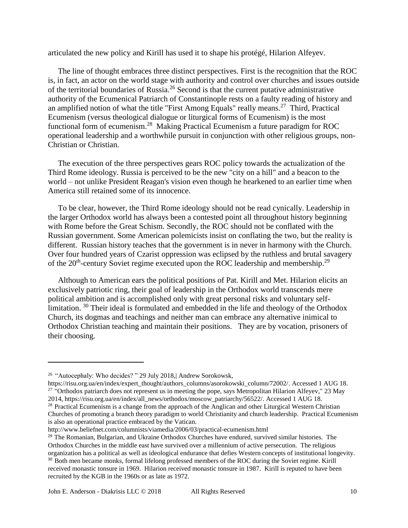articulated the new policy and Kirill has used it to shape his protégé, Hilarion Alfeyev.

 The line of thought embraces three distinct perspectives. First is the recognition that the ROC is, in fact, an actor on the world stage with authority and control over churches and issues outside of the territorial boundaries of Russia.<sup>26</sup> Second is that the current putative administrative authority of the Ecumenical Patriarch of Constantinople rests on a faulty reading of history and an amplified notion of what the title "First Among Equals" really means.<sup>27</sup> Third, Practical Ecumenism (versus theological dialogue or liturgical forms of Ecumenism) is the most functional form of ecumenism.<sup>28</sup> Making Practical Ecumenism a future paradigm for ROC operational leadership and a worthwhile pursuit in conjunction with other religious groups, non-Christian or Christian.

 The execution of the three perspectives gears ROC policy towards the actualization of the Third Rome ideology. Russia is perceived to be the new "city on a hill" and a beacon to the world – not unlike President Reagan's vision even though he hearkened to an earlier time when America still retained some of its innocence.

 To be clear, however, the Third Rome ideology should not be read cynically. Leadership in the larger Orthodox world has always been a contested point all throughout history beginning with Rome before the Great Schism. Secondly, the ROC should not be conflated with the Russian government. Some American polemicists insist on conflating the two, but the reality is different. Russian history teaches that the government is in never in harmony with the Church. Over four hundred years of Czarist oppression was eclipsed by the ruthless and brutal savagery of the  $20<sup>th</sup>$ -century Soviet regime executed upon the ROC leadership and membership.<sup>29</sup>

 Although to American ears the political positions of Pat. Kirill and Met. Hilarion elicits an exclusively patriotic ring, their goal of leadership in the Orthodox world transcends mere political ambition and is accomplished only with great personal risks and voluntary selflimitation. <sup>30</sup> Their ideal is formulated and embedded in the life and theology of the Orthodox Church, its dogmas and teachings and neither man can embrace any alternative inimical to Orthodox Christian teaching and maintain their positions. They are by vocation, prisoners of their choosing.

[https://risu.org.ua/en/index/expert\\_thought/authors\\_columns/asorokowski\\_column/72002/.](https://risu.org.ua/en/index/expert_thought/authors_columns/asorokowski_column/72002/) Accessed 1 AUG 18. <sup>27</sup> "Orthodox patriarch does not represent us in meeting the pope, says Metropolitan Hilarion Alfeyev," 23 May 2014, [https://risu.org.ua/en/index/all\\_news/orthodox/moscow\\_patriarchy/56522/.](https://risu.org.ua/en/index/all_news/orthodox/moscow_patriarchy/56522/) Accessed 1 AUG 18.

<sup>28</sup> Practical Ecumenism is a change from the approach of the Anglican and other Liturgical Western Christian Churches of promoting a branch theory paradigm to world Christianity and church leadership. Practical Ecumenism is also an operational practice embraced by the Vatican.

<sup>26</sup> "Autocephaly: Who decides? " 29 July 2018,| Andrew Sorokowsk,

http://www.beliefnet.com/columnists/viamedia/2006/03/practical-ecumenism.html

<sup>&</sup>lt;sup>29</sup> The Romanian, Bulgarian, and Ukraine Orthodox Churches have endured, survived similar histories. The Orthodox Churches in the middle east have survived over a millennium of active persecution. The religious organization has a political as well as ideological endurance that defies Western concepts of institutional longevity. <sup>30</sup> Both men became monks, formal lifelong professed members of the ROC during the Soviet regime. Kirill received monastic tonsure in 1969. Hilarion received monastic tonsure in 1987. Kirill is reputed to have been

recruited by the KGB in the 1960s or as late as 1972.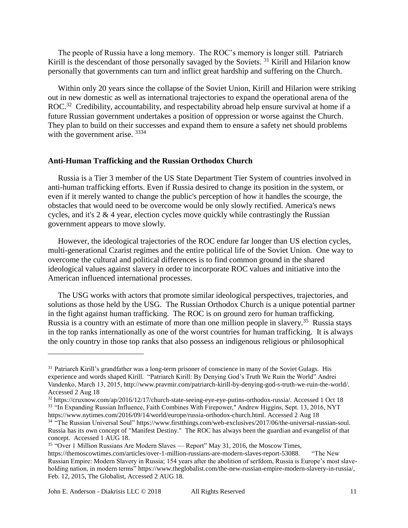The people of Russia have a long memory. The ROC's memory is longer still. Patriarch Kirill is the descendant of those personally savaged by the Soviets.<sup>31</sup> Kirill and Hilarion know personally that governments can turn and inflict great hardship and suffering on the Church.

 Within only 20 years since the collapse of the Soviet Union, Kirill and Hilarion were striking out in new domestic as well as international trajectories to expand the operational arena of the ROC.<sup>32</sup> Credibility, accountability, and respectability abroad help ensure survival at home if a future Russian government undertakes a position of oppression or worse against the Church. They plan to build on their successes and expand them to ensure a safety net should problems with the government arise.  $3334$ 

### **Anti-Human Trafficking and the Russian Orthodox Church**

 Russia is a Tier 3 member of the US State Department Tier System of countries involved in anti-human trafficking efforts. Even if Russia desired to change its position in the system, or even if it merely wanted to change the public's perception of how it handles the scourge, the obstacles that would need to be overcome would be only slowly rectified. America's news cycles, and it's 2 & 4 year, election cycles move quickly while contrastingly the Russian government appears to move slowly.

 However, the ideological trajectories of the ROC endure far longer than US election cycles, multi-generational Czarist regimes and the entire political life of the Soviet Union. One way to overcome the cultural and political differences is to find common ground in the shared ideological values against slavery in order to incorporate ROC values and initiative into the American influenced international processes.

 The USG works with actors that promote similar ideological perspectives, trajectories, and solutions as those held by the USG. The Russian Orthodox Church is a unique potential partner in the fight against human trafficking. The ROC is on ground zero for human trafficking. Russia is a country with an estimate of more than one million people in slavery.<sup>35</sup> Russia stays in the top ranks internationally as one of the worst countries for human trafficking. It is always the only country in those top ranks that also possess an indigenous religious or philosophical

<sup>&</sup>lt;sup>31</sup> Patriarch Kirill's grandfather was a long-term prisoner of conscience in many of the Soviet Gulags. His experience and words shaped Kirill. "Patriarch Kirill: By Denying God's Truth We Ruin the World" Andrei Vandenko, March 13, 2015[, http://www.pravmir.com/patriarch-kirill-by-denying-god-s-truth-we-ruin-the-world/.](http://www.pravmir.com/patriarch-kirill-by-denying-god-s-truth-we-ruin-the-world/) Accessed 2 Aug 18

<sup>32</sup> [https://cruxnow.com/ap/2016/12/17/church-state-seeing-eye-eye-putins-orthodox-russia/.](https://cruxnow.com/ap/2016/12/17/church-state-seeing-eye-eye-putins-orthodox-russia/) Accessed 1 Oct 18 <sup>33</sup> "In Expanding Russian Influence, Faith Combines With Firepower," Andrew Higgins, Sept. 13, 2016, NYT [https://www.nytimes.com/2016/09/14/world/europe/russia-orthodox-church.html.](https://www.nytimes.com/2016/09/14/world/europe/russia-orthodox-church.html) Accessed 2 Aug 18

<sup>34</sup>"The Russian Universal Soul" [https://www.firstthings.com/web-exclusives/2017/06/the-universal-russian-soul.](https://www.firstthings.com/web-exclusives/2017/06/the-universal-russian-soul) Russia has its own concept of "Manifest Destiny." The ROC has always been the guardian and evangelist of that concept. Accessed 1 AUG 18.

<sup>&</sup>lt;sup>35</sup> "Over 1 Million Russians Are Modern Slaves — Report" May 31, 2016, the Moscow Times,

[https://themoscowtimes.com/articles/over-1-million-russians-are-modern-slaves-report-53088.](https://themoscowtimes.com/articles/over-1-million-russians-are-modern-slaves-report-53088) "The New Russian Empire: Modern Slavery in Russia; 154 years after the abolition of serfdom, Russia is Europe's most slaveholding nation, in modern terms" [https://www.theglobalist.com/the-new-russian-empire-modern-slavery-in-russia/,](https://www.theglobalist.com/the-new-russian-empire-modern-slavery-in-russia/) Feb. 12, 2015, The Globalist, Accessed 2 AUG 18.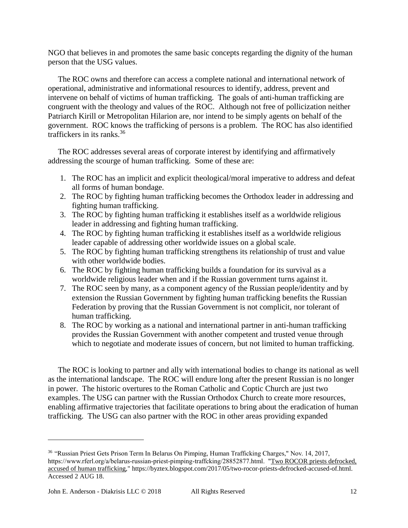NGO that believes in and promotes the same basic concepts regarding the dignity of the human person that the USG values.

 The ROC owns and therefore can access a complete national and international network of operational, administrative and informational resources to identify, address, prevent and intervene on behalf of victims of human trafficking. The goals of anti-human trafficking are congruent with the theology and values of the ROC. Although not free of pollicization neither Patriarch Kirill or Metropolitan Hilarion are, nor intend to be simply agents on behalf of the government. ROC knows the trafficking of persons is a problem. The ROC has also identified traffickers in its ranks.<sup>36</sup>

 The ROC addresses several areas of corporate interest by identifying and affirmatively addressing the scourge of human trafficking. Some of these are:

- 1. The ROC has an implicit and explicit theological/moral imperative to address and defeat all forms of human bondage.
- 2. The ROC by fighting human trafficking becomes the Orthodox leader in addressing and fighting human trafficking.
- 3. The ROC by fighting human trafficking it establishes itself as a worldwide religious leader in addressing and fighting human trafficking.
- 4. The ROC by fighting human trafficking it establishes itself as a worldwide religious leader capable of addressing other worldwide issues on a global scale.
- 5. The ROC by fighting human trafficking strengthens its relationship of trust and value with other worldwide bodies.
- 6. The ROC by fighting human trafficking builds a foundation for its survival as a worldwide religious leader when and if the Russian government turns against it.
- 7. The ROC seen by many, as a component agency of the Russian people/identity and by extension the Russian Government by fighting human trafficking benefits the Russian Federation by proving that the Russian Government is not complicit, nor tolerant of human trafficking.
- 8. The ROC by working as a national and international partner in anti-human trafficking provides the Russian Government with another competent and trusted venue through which to negotiate and moderate issues of concern, but not limited to human trafficking.

 The ROC is looking to partner and ally with international bodies to change its national as well as the international landscape. The ROC will endure long after the present Russian is no longer in power. The historic overtures to the Roman Catholic and Coptic Church are just two examples. The USG can partner with the Russian Orthodox Church to create more resources, enabling affirmative trajectories that facilitate operations to bring about the eradication of human trafficking. The USG can also partner with the ROC in other areas providing expanded

<sup>&</sup>lt;sup>36</sup> "Russian Priest Gets Prison Term In Belarus On Pimping, Human Trafficking Charges," Nov. 14, 2017, [https://www.rferl.org/a/belarus-russian-priest-pimping-traffcking/28852877.html.](https://www.rferl.org/a/belarus-russian-priest-pimping-traffcking/28852877.html) ["Two ROCOR priests defrocked,](https://byztex.blogspot.com/2017/05/two-rocor-priests-defrocked-accused-of.html)  [accused of human trafficking,](https://byztex.blogspot.com/2017/05/two-rocor-priests-defrocked-accused-of.html)" [https://byztex.blogspot.com/2017/05/two-rocor-priests-defrocked-accused-of.html.](https://byztex.blogspot.com/2017/05/two-rocor-priests-defrocked-accused-of.html) Accessed 2 AUG 18.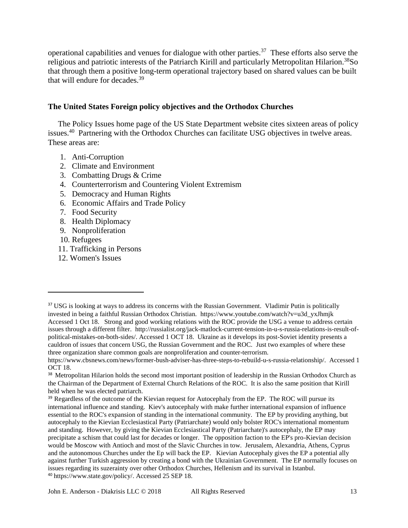operational capabilities and venues for dialogue with other parties.<sup>37</sup> These efforts also serve the religious and patriotic interests of the Patriarch Kirill and particularly Metropolitan Hilarion.<sup>38</sup>So that through them a positive long-term operational trajectory based on shared values can be built that will endure for decades.<sup>39</sup>

### **The United States Foreign policy objectives and the Orthodox Churches**

 The Policy Issues home page of the US State Department website cites sixteen areas of policy issues.<sup>40</sup> Partnering with the Orthodox Churches can facilitate USG objectives in twelve areas. These areas are:

- 1. Anti-Corruption
- 2. Climate and Environment
- 3. Combatting Drugs & Crime
- 4. [Counterterrorism and Countering Violent Extremism](http://www.state.gov/j/ct/)
- 5. [Democracy and Human Rights](http://www.state.gov/j/drl/hr/index.htm)
- 6. Economic Affairs and Trade Policy
- 7. [Food Security](http://www.state.gov/s/globalfoodsecurity/index.htm)
- 8. [Health Diplomacy](http://www.state.gov/s/gac/index.htm)
- 9. [Nonproliferation](http://www.state.gov/t/isn/index.htm)
- 10. [Refugees](http://www.state.gov/j/prm/index.htm)

- 11. [Trafficking in Persons](http://www.state.gov/j/tip/index.htm)
- 12. [Women's Issues](http://www.state.gov/s/gwi/index.htm)

<sup>&</sup>lt;sup>37</sup> USG is looking at ways to address its concerns with the Russian Government. Vladimir Putin is politically invested in being a faithful Russian Orthodox Christian. https://www.youtube.com/watch?v=u3d\_yxJhmjk Accessed 1 Oct 18. Strong and good working relations with the ROC provide the USG a venue to address certain issues through a different filter. http://russialist.org/jack-matlock-current-tension-in-u-s-russia-relations-is-result-ofpolitical-mistakes-on-both-sides/. Accessed 1 OCT 18. Ukraine as it develops its post-Soviet identity presents a cauldron of issues that concern USG, the Russian Government and the ROC. Just two examples of where these three organization share common goals are nonproliferation and counter-terrorism.

[https://www.cbsnews.com/news/former-bush-adviser-has-three-steps-to-rebuild-u-s-russia-relationship/.](https://www.cbsnews.com/news/former-bush-adviser-has-three-steps-to-rebuild-u-s-russia-relationship/) Accessed 1 OCT 18.

<sup>&</sup>lt;sup>38</sup> Metropolitan Hilarion holds the second most important position of leadership in the Russian Orthodox Church as the Chairman of the Department of External Church Relations of the ROC. It is also the same position that Kirill held when he was elected patriarch.

<sup>&</sup>lt;sup>39</sup> Regardless of the outcome of the Kievian request for Autocephaly from the EP. The ROC will pursue its international influence and standing. Kiev's autocephaly with make further international expansion of influence essential to the ROC's expansion of standing in the international community. The EP by providing anything, but autocephaly to the Kievian Ecclesiastical Party (Patriarchate) would only bolster ROC's international momentum and standing. However, by giving the Kievian Ecclesiastical Party (Patriarchate)'s autocephaly, the EP may precipitate a schism that could last for decades or longer. The opposition faction to the EP's pro-Kievian decision would be Moscow with Antioch and most of the Slavic Churches in tow. Jerusalem, Alexandria, Athens, Cyprus and the autonomous Churches under the Ep will back the EP. Kievian Autocephaly gives the EP a potential ally against further Turkish aggression by creating a bond with the Ukrainian Government. The EP normally focuses on issues regarding its suzerainty over other Orthodox Churches, Hellenism and its survival in Istanbul. <sup>40</sup> [https://www.state.gov/policy/.](https://www.state.gov/policy/) Accessed 25 SEP 18.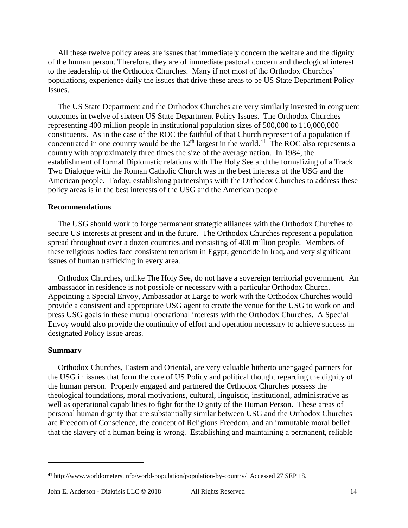All these twelve policy areas are issues that immediately concern the welfare and the dignity of the human person. Therefore, they are of immediate pastoral concern and theological interest to the leadership of the Orthodox Churches. Many if not most of the Orthodox Churches' populations, experience daily the issues that drive these areas to be US State Department Policy Issues.

 The US State Department and the Orthodox Churches are very similarly invested in congruent outcomes in twelve of sixteen US State Department Policy Issues. The Orthodox Churches representing 400 million people in institutional population sizes of 500,000 to 110,000,000 constituents. As in the case of the ROC the faithful of that Church represent of a population if concentrated in one country would be the  $12<sup>th</sup>$  largest in the world.<sup>41</sup> The ROC also represents a country with approximately three times the size of the average nation. In 1984, the establishment of formal Diplomatic relations with The Holy See and the formalizing of a Track Two Dialogue with the Roman Catholic Church was in the best interests of the USG and the American people. Today, establishing partnerships with the Orthodox Churches to address these policy areas is in the best interests of the USG and the American people

#### **Recommendations**

 The USG should work to forge permanent strategic alliances with the Orthodox Churches to secure US interests at present and in the future. The Orthodox Churches represent a population spread throughout over a dozen countries and consisting of 400 million people. Members of these religious bodies face consistent terrorism in Egypt, genocide in Iraq, and very significant issues of human trafficking in every area.

 Orthodox Churches, unlike The Holy See, do not have a sovereign territorial government. An ambassador in residence is not possible or necessary with a particular Orthodox Church. Appointing a Special Envoy, Ambassador at Large to work with the Orthodox Churches would provide a consistent and appropriate USG agent to create the venue for the USG to work on and press USG goals in these mutual operational interests with the Orthodox Churches. A Special Envoy would also provide the continuity of effort and operation necessary to achieve success in designated Policy Issue areas.

#### **Summary**

 $\overline{a}$ 

 Orthodox Churches, Eastern and Oriental, are very valuable hitherto unengaged partners for the USG in issues that form the core of US Policy and political thought regarding the dignity of the human person. Properly engaged and partnered the Orthodox Churches possess the theological foundations, moral motivations, cultural, linguistic, institutional, administrative as well as operational capabilities to fight for the Dignity of the Human Person. These areas of personal human dignity that are substantially similar between USG and the Orthodox Churches are Freedom of Conscience, the concept of Religious Freedom, and an immutable moral belief that the slavery of a human being is wrong. Establishing and maintaining a permanent, reliable

<sup>41</sup> <http://www.worldometers.info/world-population/population-by-country/>Accessed 27 SEP 18.